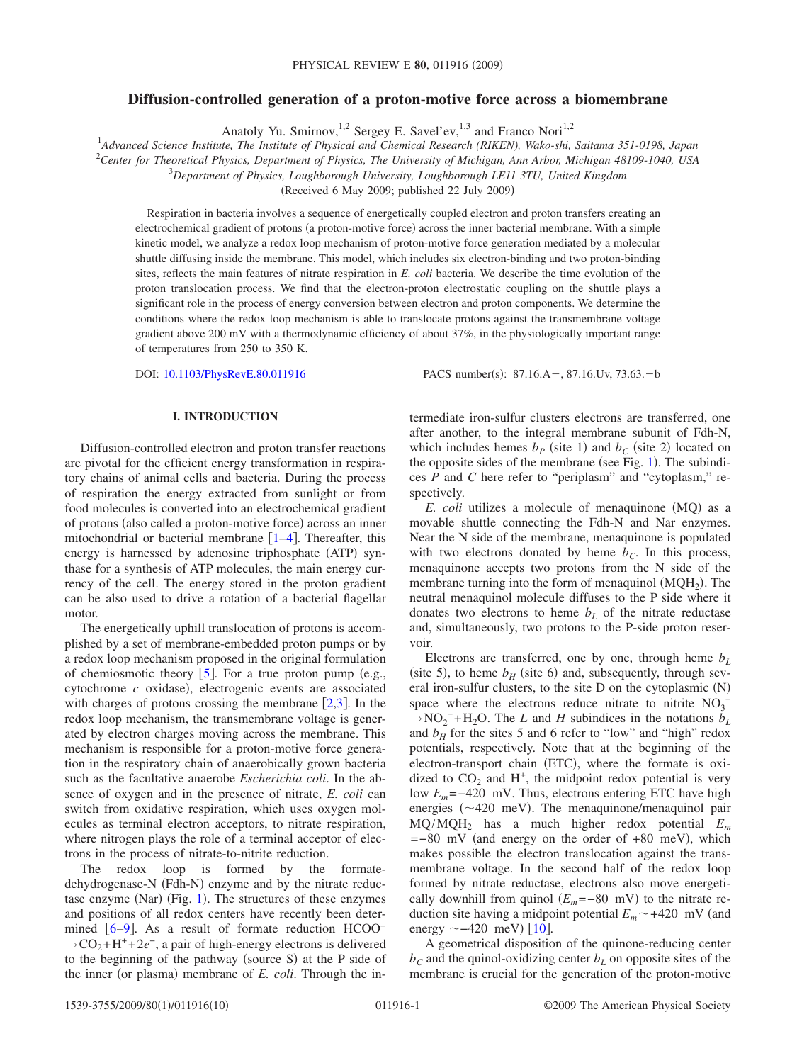# **Diffusion-controlled generation of a proton-motive force across a biomembrane**

Anatoly Yu. Smirnov,<sup>1,2</sup> Sergey E. Savel'ev,<sup>1,3</sup> and Franco Nori<sup>1,2</sup>

1 *Advanced Science Institute, The Institute of Physical and Chemical Research (RIKEN), Wako-shi, Saitama 351-0198, Japan* 2 *Center for Theoretical Physics, Department of Physics, The University of Michigan, Ann Arbor, Michigan 48109-1040, USA* 3 *Department of Physics, Loughborough University, Loughborough LE11 3TU, United Kingdom*

(Received 6 May 2009; published 22 July 2009)

Respiration in bacteria involves a sequence of energetically coupled electron and proton transfers creating an electrochemical gradient of protons (a proton-motive force) across the inner bacterial membrane. With a simple kinetic model, we analyze a redox loop mechanism of proton-motive force generation mediated by a molecular shuttle diffusing inside the membrane. This model, which includes six electron-binding and two proton-binding sites, reflects the main features of nitrate respiration in *E. coli* bacteria. We describe the time evolution of the proton translocation process. We find that the electron-proton electrostatic coupling on the shuttle plays a significant role in the process of energy conversion between electron and proton components. We determine the conditions where the redox loop mechanism is able to translocate protons against the transmembrane voltage gradient above 200 mV with a thermodynamic efficiency of about 37%, in the physiologically important range of temperatures from 250 to 350 K.

DOI: [10.1103/PhysRevE.80.011916](http://dx.doi.org/10.1103/PhysRevE.80.011916)

PACS number(s):  $87.16.A-, 87.16.Uv, 73.63.-b$ 

# **I. INTRODUCTION**

Diffusion-controlled electron and proton transfer reactions are pivotal for the efficient energy transformation in respiratory chains of animal cells and bacteria. During the process of respiration the energy extracted from sunlight or from food molecules is converted into an electrochemical gradient of protons (also called a proton-motive force) across an inner mitochondrial or bacterial membrane  $[1-4]$  $[1-4]$  $[1-4]$ . Thereafter, this energy is harnessed by adenosine triphosphate (ATP) synthase for a synthesis of ATP molecules, the main energy currency of the cell. The energy stored in the proton gradient can be also used to drive a rotation of a bacterial flagellar motor.

The energetically uphill translocation of protons is accomplished by a set of membrane-embedded proton pumps or by a redox loop mechanism proposed in the original formulation of chemiosmotic theory  $\lceil 5 \rceil$  $\lceil 5 \rceil$  $\lceil 5 \rceil$ . For a true proton pump (e.g.,  $cytochrome$   $c$  oxidase), electrogenic events are associated with charges of protons crossing the membrane  $[2,3]$  $[2,3]$  $[2,3]$  $[2,3]$ . In the redox loop mechanism, the transmembrane voltage is generated by electron charges moving across the membrane. This mechanism is responsible for a proton-motive force generation in the respiratory chain of anaerobically grown bacteria such as the facultative anaerobe *Escherichia coli*. In the absence of oxygen and in the presence of nitrate, *E. coli* can switch from oxidative respiration, which uses oxygen molecules as terminal electron acceptors, to nitrate respiration, where nitrogen plays the role of a terminal acceptor of electrons in the process of nitrate-to-nitrite reduction.

The redox loop is formed by the formatedehydrogenase-N (Fdh-N) enzyme and by the nitrate reduc-tase enzyme (Nar) (Fig. [1](#page-1-0)). The structures of these enzymes and positions of all redox centers have recently been deter-mined [[6](#page-8-5)[–9](#page-9-0)]. As a result of formate reduction HCOO<sup>−</sup> →CO<sub>2</sub>+H<sup>+</sup>+2*e*<sup>-</sup>, a pair of high-energy electrons is delivered to the beginning of the pathway (source S) at the P side of the inner (or plasma) membrane of *E. coli*. Through the intermediate iron-sulfur clusters electrons are transferred, one after another, to the integral membrane subunit of Fdh-N, which includes hemes  $b_P$  (site 1) and  $b_C$  (site 2) located on the opposite sides of the membrane (see Fig.  $1$ ). The subindices *P* and *C* here refer to "periplasm" and "cytoplasm," respectively.

E. coli utilizes a molecule of menaquinone (MQ) as a movable shuttle connecting the Fdh-N and Nar enzymes. Near the N side of the membrane, menaquinone is populated with two electrons donated by heme  $b<sub>C</sub>$ . In this process, menaquinone accepts two protons from the N side of the membrane turning into the form of menaquinol  $(MQH<sub>2</sub>)$ . The neutral menaquinol molecule diffuses to the P side where it donates two electrons to heme  $b<sub>L</sub>$  of the nitrate reductase and, simultaneously, two protons to the P-side proton reservoir.

Electrons are transferred, one by one, through heme  $b_L$ (site 5), to heme  $b_H$  (site 6) and, subsequently, through several iron-sulfur clusters, to the site D on the cytoplasmic (N) space where the electrons reduce nitrate to nitrite  $NO_3^ \rightarrow$ NO<sub>2</sub><sup>-</sup>+H<sub>2</sub>O. The *L* and *H* subindices in the notations  $b_L$ and  $b_H$  for the sites 5 and 6 refer to "low" and "high" redox potentials, respectively. Note that at the beginning of the electron-transport chain (ETC), where the formate is oxidized to  $CO<sub>2</sub>$  and H<sup>+</sup>, the midpoint redox potential is very low *E<sub>m</sub>* =−420 mV. Thus, electrons entering ETC have high energies  $(\sim 420 \text{ meV})$ . The menaquinone/menaquinol pair MQ/MQH2 has a much higher redox potential *Em*  $=$  -80 mV (and energy on the order of +80 meV), which makes possible the electron translocation against the transmembrane voltage. In the second half of the redox loop formed by nitrate reductase, electrons also move energetically downhill from quinol  $(E_m = -80 \text{ mV})$  to the nitrate reduction site having a midpoint potential  $E_m \sim +420$  mV (and energy  $\sim$  –420 meV) [[10](#page-9-1)].

A geometrical disposition of the quinone-reducing center  $b<sub>C</sub>$  and the quinol-oxidizing center  $b<sub>L</sub>$  on opposite sites of the membrane is crucial for the generation of the proton-motive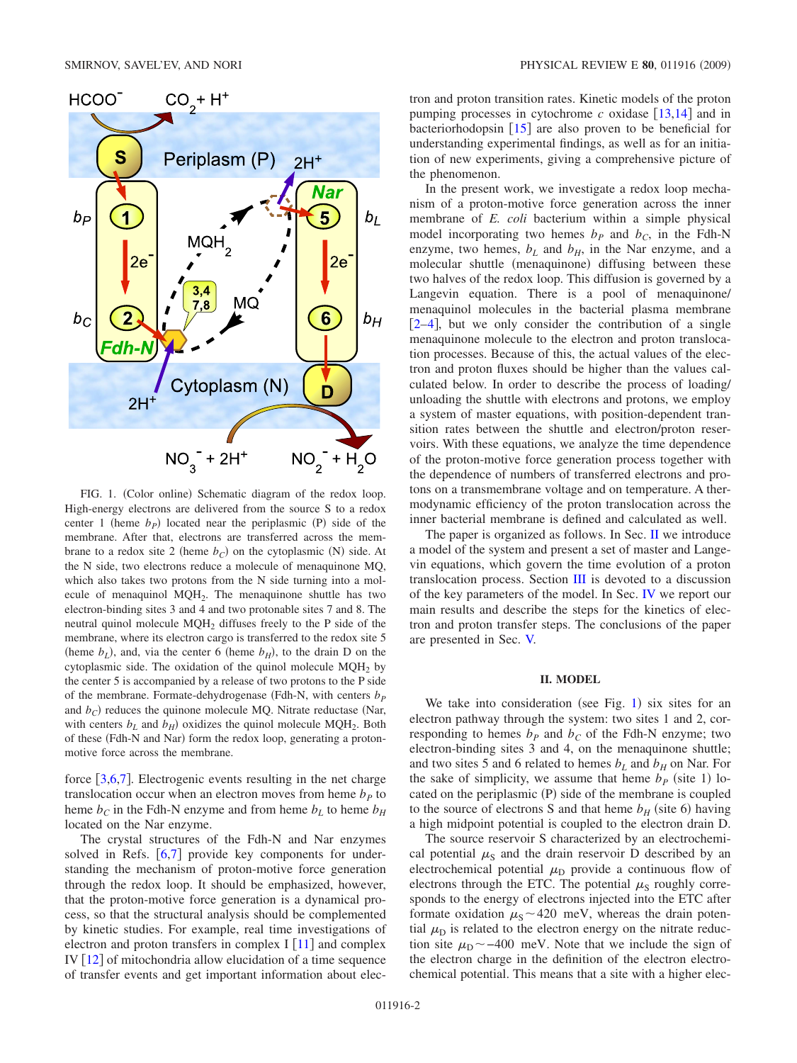<span id="page-1-0"></span>

FIG. 1. (Color online) Schematic diagram of the redox loop. High-energy electrons are delivered from the source S to a redox center 1 (heme  $b<sub>P</sub>$ ) located near the periplasmic (P) side of the membrane. After that, electrons are transferred across the membrane to a redox site 2 (heme  $b_C$ ) on the cytoplasmic (N) side. At the N side, two electrons reduce a molecule of menaquinone MQ, which also takes two protons from the N side turning into a molecule of menaquinol MQH<sub>2</sub>. The menaquinone shuttle has two electron-binding sites 3 and 4 and two protonable sites 7 and 8. The neutral quinol molecule MQH<sub>2</sub> diffuses freely to the P side of the membrane, where its electron cargo is transferred to the redox site 5 (heme  $b_L$ ), and, via the center 6 (heme  $b_H$ ), to the drain D on the cytoplasmic side. The oxidation of the quinol molecule  $MQH<sub>2</sub>$  by the center 5 is accompanied by a release of two protons to the P side of the membrane. Formate-dehydrogenase (Fdh-N, with centers  $b<sub>p</sub>$ and  $b_C$ ) reduces the quinone molecule MQ. Nitrate reductase (Nar, with centers  $b_L$  and  $b_H$ ) oxidizes the quinol molecule MQH<sub>2</sub>. Both of these (Fdh-N and Nar) form the redox loop, generating a protonmotive force across the membrane.

force  $\lceil 3, 6, 7 \rceil$  $\lceil 3, 6, 7 \rceil$  $\lceil 3, 6, 7 \rceil$  $\lceil 3, 6, 7 \rceil$  $\lceil 3, 6, 7 \rceil$  $\lceil 3, 6, 7 \rceil$  $\lceil 3, 6, 7 \rceil$ . Electrogenic events resulting in the net charge translocation occur when an electron moves from heme  $b<sub>p</sub>$  to heme  $b<sub>C</sub>$  in the Fdh-N enzyme and from heme  $b<sub>L</sub>$  to heme  $b<sub>H</sub>$ located on the Nar enzyme.

The crystal structures of the Fdh-N and Nar enzymes solved in Refs.  $[6,7]$  $[6,7]$  $[6,7]$  $[6,7]$  provide key components for understanding the mechanism of proton-motive force generation through the redox loop. It should be emphasized, however, that the proton-motive force generation is a dynamical process, so that the structural analysis should be complemented by kinetic studies. For example, real time investigations of electron and proton transfers in complex I  $[11]$  $[11]$  $[11]$  and complex IV  $\lceil 12 \rceil$  $\lceil 12 \rceil$  $\lceil 12 \rceil$  of mitochondria allow elucidation of a time sequence of transfer events and get important information about electron and proton transition rates. Kinetic models of the proton pumping processes in cytochrome  $c$  oxidase  $\lceil 13,14 \rceil$  $\lceil 13,14 \rceil$  $\lceil 13,14 \rceil$  $\lceil 13,14 \rceil$  and in bacteriorhodopsin  $\lceil 15 \rceil$  $\lceil 15 \rceil$  $\lceil 15 \rceil$  are also proven to be beneficial for understanding experimental findings, as well as for an initiation of new experiments, giving a comprehensive picture of the phenomenon.

In the present work, we investigate a redox loop mechanism of a proton-motive force generation across the inner membrane of *E. coli* bacterium within a simple physical model incorporating two hemes  $b<sub>P</sub>$  and  $b<sub>C</sub>$ , in the Fdh-N enzyme, two hemes,  $b_L$  and  $b_H$ , in the Nar enzyme, and a molecular shuttle (menaquinone) diffusing between these two halves of the redox loop. This diffusion is governed by a Langevin equation. There is a pool of menaquinone/ menaquinol molecules in the bacterial plasma membrane  $[2-4]$  $[2-4]$  $[2-4]$ , but we only consider the contribution of a single menaquinone molecule to the electron and proton translocation processes. Because of this, the actual values of the electron and proton fluxes should be higher than the values calculated below. In order to describe the process of loading/ unloading the shuttle with electrons and protons, we employ a system of master equations, with position-dependent transition rates between the shuttle and electron/proton reservoirs. With these equations, we analyze the time dependence of the proton-motive force generation process together with the dependence of numbers of transferred electrons and protons on a transmembrane voltage and on temperature. A thermodynamic efficiency of the proton translocation across the inner bacterial membrane is defined and calculated as well.

The paper is organized as follows. In Sec. [II](#page-1-1) we introduce a model of the system and present a set of master and Langevin equations, which govern the time evolution of a proton translocation process. Section [III](#page-5-0) is devoted to a discussion of the key parameters of the model. In Sec. [IV](#page-6-0) we report our main results and describe the steps for the kinetics of electron and proton transfer steps. The conclusions of the paper are presented in Sec. [V.](#page-8-7)

## **II. MODEL**

<span id="page-1-1"></span>We take into consideration (see Fig.  $1$ ) six sites for an electron pathway through the system: two sites 1 and 2, corresponding to hemes  $b<sub>P</sub>$  and  $b<sub>C</sub>$  of the Fdh-N enzyme; two electron-binding sites 3 and 4, on the menaquinone shuttle; and two sites 5 and 6 related to hemes  $b<sub>L</sub>$  and  $b<sub>H</sub>$  on Nar. For the sake of simplicity, we assume that heme  $b<sub>P</sub>$  (site 1) located on the periplasmic (P) side of the membrane is coupled to the source of electrons S and that heme  $b_H$  (site 6) having a high midpoint potential is coupled to the electron drain D.

The source reservoir S characterized by an electrochemical potential  $\mu_s$  and the drain reservoir D described by an electrochemical potential  $\mu_{\rm D}$  provide a continuous flow of electrons through the ETC. The potential  $\mu<sub>S</sub>$  roughly corresponds to the energy of electrons injected into the ETC after formate oxidation  $\mu$ <sub>S</sub> ~ 420 meV, whereas the drain potential  $\mu_{\rm D}$  is related to the electron energy on the nitrate reduction site  $\mu_{\text{D}} \sim -400$  meV. Note that we include the sign of the electron charge in the definition of the electron electrochemical potential. This means that a site with a higher elec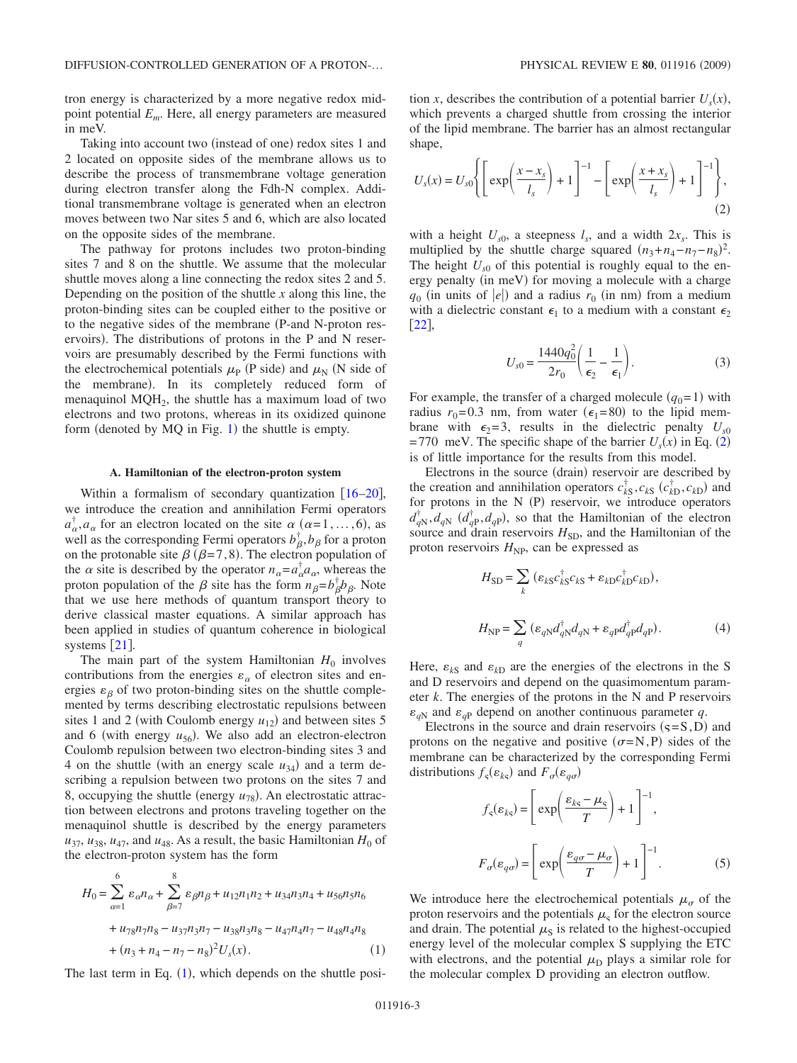tron energy is characterized by a more negative redox midpoint potential *Em*. Here, all energy parameters are measured in meV.

Taking into account two (instead of one) redox sites 1 and 2 located on opposite sides of the membrane allows us to describe the process of transmembrane voltage generation during electron transfer along the Fdh-N complex. Additional transmembrane voltage is generated when an electron moves between two Nar sites 5 and 6, which are also located on the opposite sides of the membrane.

The pathway for protons includes two proton-binding sites 7 and 8 on the shuttle. We assume that the molecular shuttle moves along a line connecting the redox sites 2 and 5. Depending on the position of the shuttle *x* along this line, the proton-binding sites can be coupled either to the positive or to the negative sides of the membrane (P-and N-proton reservoirs). The distributions of protons in the P and N reservoirs are presumably described by the Fermi functions with the electrochemical potentials  $\mu_{\rm P}$  (P side) and  $\mu_{\rm N}$  (N side of the membrane). In its completely reduced form of menaquinol  $MQH<sub>2</sub>$ , the shuttle has a maximum load of two electrons and two protons, whereas in its oxidized quinone form (denoted by  $MQ$  in Fig. [1](#page-1-0)) the shuttle is empty.

## **A. Hamiltonian of the electron-proton system**

Within a formalism of secondary quantization  $[16–20]$  $[16–20]$  $[16–20]$  $[16–20]$ , we introduce the creation and annihilation Fermi operators  $a_{\alpha}^{\dagger}, a_{\alpha}$  for an electron located on the site  $\alpha$  ( $\alpha$ =1,...,6), as well as the corresponding Fermi operators  $b_{\beta}^{\dagger}, b_{\beta}$  for a proton on the protonable site  $\beta$  ( $\beta$ =7,8). The electron population of the  $\alpha$  site is described by the operator  $n_{\alpha} = a_{\alpha}^{\dagger} a_{\alpha}$ , whereas the proton population of the  $\beta$  site has the form  $n_{\beta} = b_{\beta}^{\dagger} b_{\beta}$ . Note that we use here methods of quantum transport theory to derive classical master equations. A similar approach has been applied in studies of quantum coherence in biological systems  $\lceil 21 \rceil$  $\lceil 21 \rceil$  $\lceil 21 \rceil$ .

The main part of the system Hamiltonian  $H_0$  involves contributions from the energies  $\varepsilon_{\alpha}$  of electron sites and energies  $\varepsilon_{\beta}$  of two proton-binding sites on the shuttle complemented by terms describing electrostatic repulsions between sites 1 and 2 (with Coulomb energy  $u_{12}$ ) and between sites 5 and 6 (with energy  $u_{56}$ ). We also add an electron-electron Coulomb repulsion between two electron-binding sites 3 and 4 on the shuttle (with an energy scale  $u_{34}$ ) and a term describing a repulsion between two protons on the sites 7 and 8, occupying the shuttle (energy  $u_{78}$ ). An electrostatic attraction between electrons and protons traveling together on the menaquinol shuttle is described by the energy parameters  $u_{37}$ ,  $u_{38}$ ,  $u_{47}$ , and  $u_{48}$ . As a result, the basic Hamiltonian  $H_0$  of the electron-proton system has the form

<span id="page-2-0"></span>
$$
H_0 = \sum_{\alpha=1}^6 \varepsilon_{\alpha} n_{\alpha} + \sum_{\beta=7}^8 \varepsilon_{\beta} n_{\beta} + u_{12} n_1 n_2 + u_{34} n_3 n_4 + u_{56} n_5 n_6
$$
  
+  $u_{78} n_7 n_8 - u_{37} n_3 n_7 - u_{38} n_3 n_8 - u_{47} n_4 n_7 - u_{48} n_4 n_8$   
+  $(n_3 + n_4 - n_7 - n_8)^2 U_s(x)$ . (1)

The last term in Eq.  $(1)$  $(1)$  $(1)$ , which depends on the shuttle posi-

tion *x*, describes the contribution of a potential barrier  $U_s(x)$ , which prevents a charged shuttle from crossing the interior of the lipid membrane. The barrier has an almost rectangular shape,

<span id="page-2-1"></span>
$$
U_s(x) = U_{s0} \left\{ \left[ \exp\left(\frac{x - x_s}{l_s}\right) + 1 \right]^{-1} - \left[ \exp\left(\frac{x + x_s}{l_s}\right) + 1 \right]^{-1} \right\},\tag{2}
$$

with a height  $U_{s0}$ , a steepness  $l_s$ , and a width  $2x_s$ . This is multiplied by the shuttle charge squared  $(n_3+n_4-n_7-n_8)^2$ . The height  $U_{s0}$  of this potential is roughly equal to the energy penalty (in meV) for moving a molecule with a charge  $q_0$  (in units of  $|e|$ ) and a radius  $r_0$  (in nm) from a medium with a dielectric constant  $\epsilon_1$  to a medium with a constant  $\epsilon_2$  $|22|$  $|22|$  $|22|$ ,

$$
U_{s0} = \frac{1440q_0^2}{2r_0} \left(\frac{1}{\epsilon_2} - \frac{1}{\epsilon_1}\right).
$$
 (3)

For example, the transfer of a charged molecule  $(q_0=1)$  with radius  $r_0 = 0.3$  nm, from water  $(\epsilon_1 = 80)$  to the lipid membrane with  $\epsilon_2 = 3$ , results in the dielectric penalty  $U_{s0}$  $=770$  meV. The specific shape of the barrier  $U_s(x)$  in Eq. ([2](#page-2-1)) is of little importance for the results from this model.

Electrons in the source (drain) reservoir are described by the creation and annihilation operators  $c_{kS}^{\dagger}, c_{kS}$  ( $c_{kD}^{\dagger}, c_{kD}$ ) and for protons in the  $N(P)$  reservoir, we introduce operators  $d_{qN}^{\dagger}, d_{qN}^{\dagger}$  ( $d_{qP}^{\dagger}, d_{qP}$ ), so that the Hamiltonian of the electron source and drain reservoirs  $H_{SD}$ , and the Hamiltonian of the proton reservoirs  $H_{\text{NP}}$ , can be expressed as

$$
H_{SD} = \sum_{k} \left( \varepsilon_{kS} c_{kS}^{\dagger} c_{kS} + \varepsilon_{kD} c_{kD}^{\dagger} c_{kD} \right),
$$
  

$$
H_{NP} = \sum_{q} \left( \varepsilon_{qN} d_{qN}^{\dagger} d_{qN} + \varepsilon_{qP} d_{qP}^{\dagger} d_{qP} \right).
$$
 (4)

Here,  $\varepsilon_{kS}$  and  $\varepsilon_{kD}$  are the energies of the electrons in the S and D reservoirs and depend on the quasimomentum parameter *k*. The energies of the protons in the N and P reservoirs  $\varepsilon_{aN}$  and  $\varepsilon_{aP}$  depend on another continuous parameter *q*.

Electrons in the source and drain reservoirs  $(s = S, D)$  and protons on the negative and positive  $(\sigma = N, P)$  sides of the membrane can be characterized by the corresponding Fermi distributions  $f_s(\varepsilon_{k\varsigma})$  and  $F_{\sigma}(\varepsilon_{q\sigma})$ 

$$
f_{s}(\varepsilon_{ks}) = \left[\exp\left(\frac{\varepsilon_{ks} - \mu_{s}}{T}\right) + 1\right]^{-1},
$$
  

$$
F_{\sigma}(\varepsilon_{q\sigma}) = \left[\exp\left(\frac{\varepsilon_{q\sigma} - \mu_{\sigma}}{T}\right) + 1\right]^{-1}.
$$
 (5)

We introduce here the electrochemical potentials  $\mu_{\sigma}$  of the proton reservoirs and the potentials  $\mu$ <sub>s</sub> for the electron source and drain. The potential  $\mu<sub>S</sub>$  is related to the highest-occupied energy level of the molecular complex S supplying the ETC with electrons, and the potential  $\mu_D$  plays a similar role for the molecular complex D providing an electron outflow.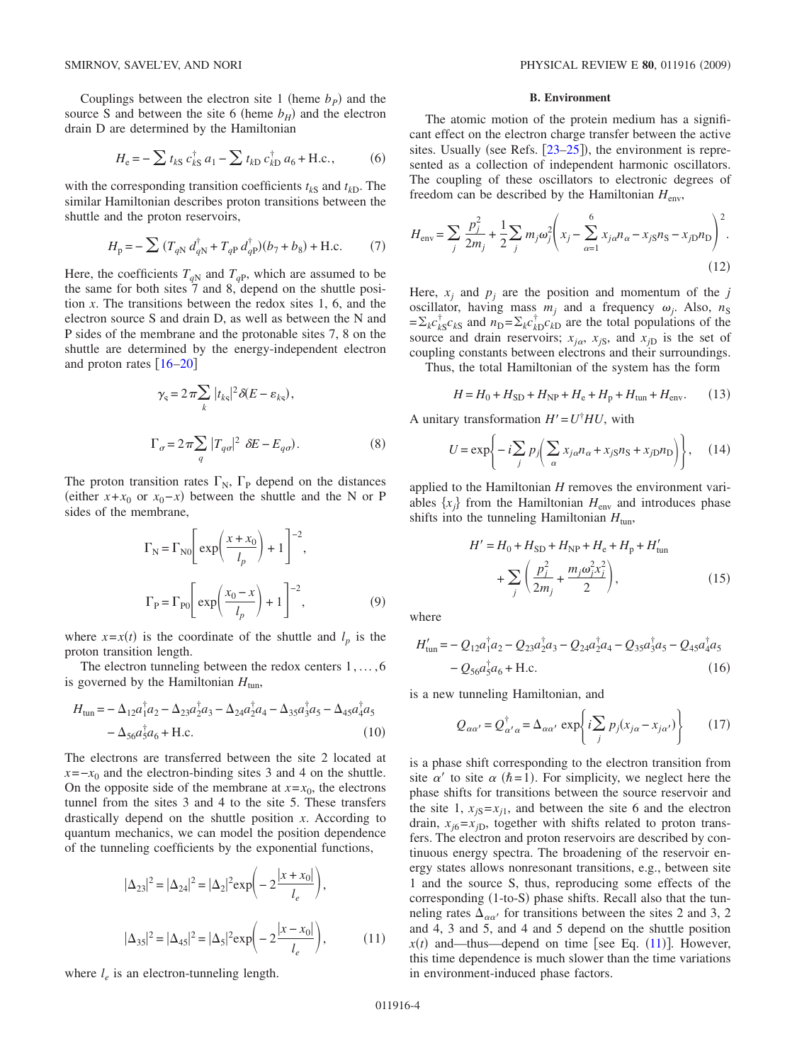Couplings between the electron site 1 (heme  $b<sub>P</sub>$ ) and the source S and between the site 6 (heme  $b_H$ ) and the electron drain D are determined by the Hamiltonian

$$
H_{\rm e} = -\sum t_{kS} c_{kS}^{\dagger} a_1 - \sum t_{kD} c_{kD}^{\dagger} a_6 + \text{H.c.},
$$
 (6)

with the corresponding transition coefficients  $t_{kS}$  and  $t_{kD}$ . The similar Hamiltonian describes proton transitions between the shuttle and the proton reservoirs,

$$
H_{\rm p} = -\sum (T_{qN} d_{qN}^{\dagger} + T_{qP} d_{qP}^{\dagger}) (b_7 + b_8) + \text{H.c.}
$$
 (7)

Here, the coefficients  $T_{qN}$  and  $T_{qP}$ , which are assumed to be the same for both sites  $\overline{7}$  and  $\overline{8}$ , depend on the shuttle position *x*. The transitions between the redox sites 1, 6, and the electron source S and drain D, as well as between the N and P sides of the membrane and the protonable sites 7, 8 on the shuttle are determined by the energy-independent electron and proton rates  $[16–20]$  $[16–20]$  $[16–20]$  $[16–20]$ 

$$
\gamma_{\rm s} = 2\pi \sum_{k} |t_{k\rm s}|^2 \delta(E - \varepsilon_{k\rm s}),
$$
  

$$
\Gamma_{\sigma} = 2\pi \sum_{q} |T_{q\sigma}|^2 \delta(E - E_{q\sigma}).
$$
 (8)

<span id="page-3-1"></span>The proton transition rates  $\Gamma_N$ ,  $\Gamma_P$  depend on the distances (either  $x + x_0$  or  $x_0 - x$ ) between the shuttle and the N or P sides of the membrane,

$$
\Gamma_{\rm N} = \Gamma_{\rm N0} \left[ \exp\left(\frac{x + x_0}{l_p}\right) + 1 \right]^{-2},
$$
  

$$
\Gamma_{\rm P} = \Gamma_{\rm P0} \left[ \exp\left(\frac{x_0 - x}{l_p}\right) + 1 \right]^{-2},
$$
 (9)

where  $x=x(t)$  is the coordinate of the shuttle and  $l_p$  is the proton transition length.

The electron tunneling between the redox centers 1, ... ,6 is governed by the Hamiltonian  $H_{\text{tun}}$ ,

$$
H_{\text{tun}} = -\Delta_{12} a_1^{\dagger} a_2 - \Delta_{23} a_2^{\dagger} a_3 - \Delta_{24} a_2^{\dagger} a_4 - \Delta_{35} a_3^{\dagger} a_5 - \Delta_{45} a_4^{\dagger} a_5 - \Delta_{56} a_5^{\dagger} a_6 + \text{H.c.}
$$
\n(10)

The electrons are transferred between the site 2 located at  $x = -x_0$  and the electron-binding sites 3 and 4 on the shuttle. On the opposite side of the membrane at  $x = x_0$ , the electrons tunnel from the sites 3 and 4 to the site 5. These transfers drastically depend on the shuttle position *x*. According to quantum mechanics, we can model the position dependence of the tunneling coefficients by the exponential functions,

<span id="page-3-0"></span>
$$
|\Delta_{23}|^2 = |\Delta_{24}|^2 = |\Delta_2|^2 \exp\left(-2\frac{|x + x_0|}{l_e}\right),
$$
  

$$
|\Delta_{35}|^2 = |\Delta_{45}|^2 = |\Delta_5|^2 \exp\left(-2\frac{|x - x_0|}{l_e}\right),
$$
 (11)

where  $l_e$  is an electron-tunneling length.

# **B. Environment**

The atomic motion of the protein medium has a significant effect on the electron charge transfer between the active sites. Usually (see Refs.  $[23-25]$  $[23-25]$  $[23-25]$ ), the environment is represented as a collection of independent harmonic oscillators. The coupling of these oscillators to electronic degrees of freedom can be described by the Hamiltonian *H*env,

$$
H_{\text{env}} = \sum_{j} \frac{p_j^2}{2m_j} + \frac{1}{2} \sum_{j} m_j \omega_j^2 \left( x_j - \sum_{\alpha=1}^6 x_{j\alpha} n_{\alpha} - x_{jS} n_{S} - x_{jD} n_{D} \right)^2.
$$
\n(12)

Here,  $x_i$  and  $p_i$  are the position and momentum of the *j* oscillator, having mass  $m_i$  and a frequency  $\omega_i$ . Also,  $n_S$  $= \sum_{k} c_{k}^{\dagger} c_{k}^{\dagger} c_{k}^{\dagger}$  are the total populations of the source and drain reservoirs;  $x_{j\alpha}$ ,  $x_{jS}$ , and  $x_{jD}$  is the set of coupling constants between electrons and their surroundings.

Thus, the total Hamiltonian of the system has the form

$$
H = H_0 + H_{SD} + H_{NP} + H_e + H_p + H_{\text{tun}} + H_{\text{env}}.
$$
 (13)

A unitary transformation  $H' = U^{\dagger} H U$ , with

$$
U = \exp\left\{-i\sum_{j} p_j \left(\sum_{\alpha} x_{j\alpha} n_{\alpha} + x_{j\beta} n_{\beta} + x_{jD} n_{\beta}\right)\right\},\quad(14)
$$

applied to the Hamiltonian *H* removes the environment variables  $\{x_i\}$  from the Hamiltonian  $H_{env}$  and introduces phase shifts into the tunneling Hamiltonian  $H_{\text{tun}}$ ,

$$
H' = H_0 + H_{SD} + H_{NP} + H_e + H_p + H'_{\text{tun}}
$$
  
+ 
$$
\sum_{j} \left( \frac{p_j^2}{2m_j} + \frac{m_j \omega_j^2 x_j^2}{2} \right),
$$
 (15)

where

$$
H'_{\text{tun}} = -Q_{12}a_1^{\dagger}a_2 - Q_{23}a_2^{\dagger}a_3 - Q_{24}a_2^{\dagger}a_4 - Q_{35}a_3^{\dagger}a_5 - Q_{45}a_4^{\dagger}a_5 - Q_{56}a_5^{\dagger}a_6 + \text{H.c.}
$$
\n(16)

is a new tunneling Hamiltonian, and

$$
Q_{\alpha\alpha'} = Q_{\alpha'\alpha}^{\dagger} = \Delta_{\alpha\alpha'} \exp\left\{i \sum_{j} p_j (x_{j\alpha} - x_{j\alpha'})\right\} \qquad (17)
$$

is a phase shift corresponding to the electron transition from site  $\alpha'$  to site  $\alpha$  ( $\hbar$ =1). For simplicity, we neglect here the phase shifts for transitions between the source reservoir and the site 1,  $x_{iS} = x_{i1}$ , and between the site 6 and the electron drain,  $x_{j6} = x_{jD}$ , together with shifts related to proton transfers. The electron and proton reservoirs are described by continuous energy spectra. The broadening of the reservoir energy states allows nonresonant transitions, e.g., between site 1 and the source S, thus, reproducing some effects of the corresponding (1-to-S) phase shifts. Recall also that the tunneling rates  $\Delta_{\alpha\alpha'}$  for transitions between the sites 2 and 3, 2 and 4, 3 and 5, and 4 and 5 depend on the shuttle position  $x(t)$  and—thus—depend on time [see Eq.  $(11)$  $(11)$  $(11)$ ]. However, this time dependence is much slower than the time variations in environment-induced phase factors.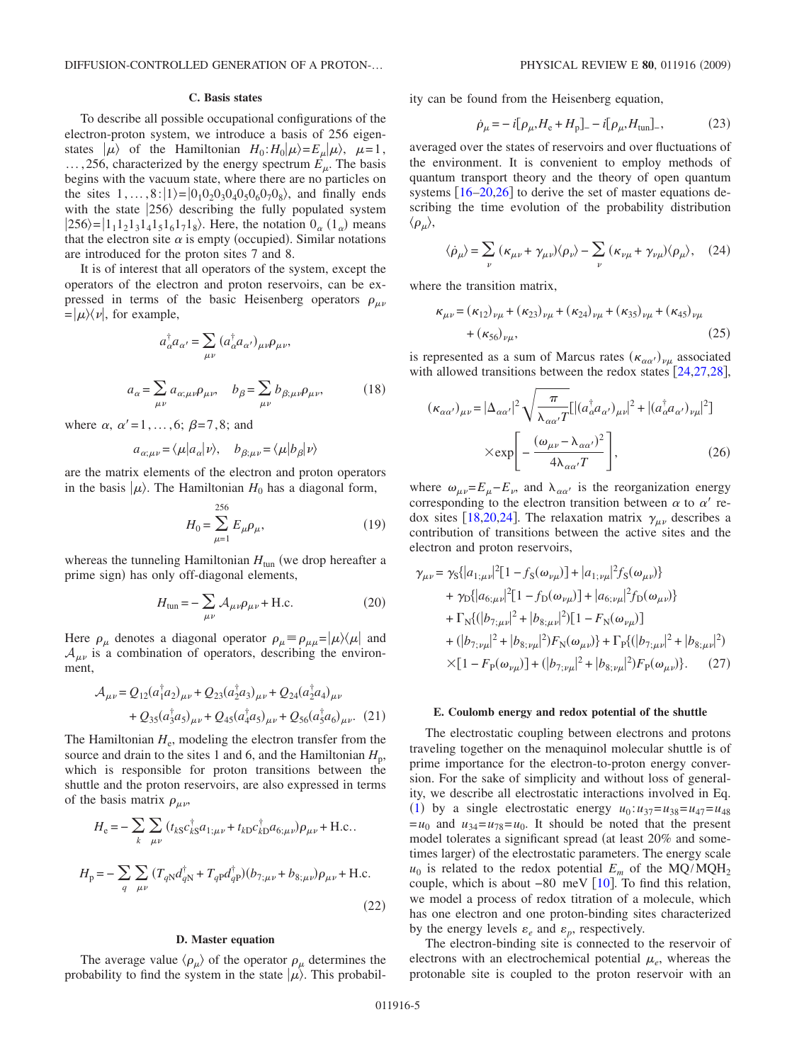### **C. Basis states**

To describe all possible occupational configurations of the electron-proton system, we introduce a basis of 256 eigenstates  $|\mu\rangle$  of the Hamiltonian  $H_0: H_0|\mu\rangle = E_\mu|\mu\rangle$ ,  $\mu = 1$ ,  $\ldots$ , 256, characterized by the energy spectrum  $E_{\mu}$ . The basis begins with the vacuum state, where there are no particles on the sites  $1, ..., 8: |1\rangle = |0_1 0_2 0_3 0_4 0_5 0_6 0_7 0_8 \rangle$ , and finally ends with the state  $|256\rangle$  describing the fully populated system  $|256\rangle = |1_11_21_31_41_51_61_71_8\rangle$ . Here, the notation  $0_\alpha$  ( $1_\alpha$ ) means that the electron site  $\alpha$  is empty (occupied). Similar notations are introduced for the proton sites 7 and 8.

It is of interest that all operators of the system, except the operators of the electron and proton reservoirs, can be expressed in terms of the basic Heisenberg operators  $\rho_{\mu\nu}$  $= |\mu\rangle\langle \nu|$ , for example,

$$
a_{\alpha}^{\dagger} a_{\alpha'} = \sum_{\mu\nu} (a_{\alpha}^{\dagger} a_{\alpha'})_{\mu\nu} \rho_{\mu\nu},
$$
  

$$
a_{\alpha} = \sum_{\mu\nu} a_{\alpha;\mu\nu} \rho_{\mu\nu}, \quad b_{\beta} = \sum_{\mu\nu} b_{\beta;\mu\nu} \rho_{\mu\nu}, \tag{18}
$$

where  $\alpha$ ,  $\alpha' = 1, \ldots, 6$ ;  $\beta = 7, 8$ ; and

$$
a_{\alpha;\mu\nu} = \langle \mu | a_{\alpha} | \nu \rangle, \quad b_{\beta;\mu\nu} = \langle \mu | b_{\beta} | \nu \rangle
$$

are the matrix elements of the electron and proton operators in the basis  $|\mu\rangle$ . The Hamiltonian  $H_0$  has a diagonal form,

$$
H_0 = \sum_{\mu=1}^{256} E_{\mu} \rho_{\mu},
$$
 (19)

whereas the tunneling Hamiltonian  $H_{\text{tun}}$  (we drop hereafter a prime sign) has only off-diagonal elements,

$$
H_{\text{tun}} = -\sum_{\mu\nu} A_{\mu\nu} \rho_{\mu\nu} + \text{H.c.}
$$
 (20)

Here  $\rho_{\mu}$  denotes a diagonal operator  $\rho_{\mu} \equiv \rho_{\mu}{}_{\mu} = |\mu\rangle\langle\mu|$  and  $A_{\mu\nu}$  is a combination of operators, describing the environment,

$$
\mathcal{A}_{\mu\nu} = Q_{12}(a_1^{\dagger} a_2)_{\mu\nu} + Q_{23}(a_2^{\dagger} a_3)_{\mu\nu} + Q_{24}(a_2^{\dagger} a_4)_{\mu\nu} \n+ Q_{35}(a_3^{\dagger} a_5)_{\mu\nu} + Q_{45}(a_4^{\dagger} a_5)_{\mu\nu} + Q_{56}(a_5^{\dagger} a_6)_{\mu\nu}.
$$
 (21)

The Hamiltonian  $H_e$ , modeling the electron transfer from the source and drain to the sites 1 and 6, and the Hamiltonian  $H_p$ , which is responsible for proton transitions between the shuttle and the proton reservoirs, are also expressed in terms of the basis matrix  $\rho_{\mu\nu}$ ,

$$
H_{\rm e} = -\sum_{k} \sum_{\mu\nu} (t_{kS}c_{kS}^{\dagger}a_{1;\mu\nu} + t_{kD}c_{kD}^{\dagger}a_{6;\mu\nu})\rho_{\mu\nu} + \text{H.c.}.
$$
  

$$
H_{\rm p} = -\sum_{q} \sum_{\mu\nu} (T_{qN}d_{qN}^{\dagger} + T_{qP}d_{qP}^{\dagger})(b_{7;\mu\nu} + b_{8;\mu\nu})\rho_{\mu\nu} + \text{H.c.}
$$
(22)

#### **D. Master equation**

The average value  $\langle \rho_\mu \rangle$  of the operator  $\rho_\mu$  determines the probability to find the system in the state  $|\mu\rangle$ . This probability can be found from the Heisenberg equation,

$$
\dot{\rho}_{\mu} = -i[\rho_{\mu}, H_{\rm e} + H_{\rm p}]_{-} - i[\rho_{\mu}, H_{\rm tun}]_{-},\tag{23}
$$

averaged over the states of reservoirs and over fluctuations of the environment. It is convenient to employ methods of quantum transport theory and the theory of open quantum systems  $[16–20,26]$  $[16–20,26]$  $[16–20,26]$  $[16–20,26]$  $[16–20,26]$  to derive the set of master equations describing the time evolution of the probability distribution  $\langle\rho_{\mu}\rangle,$ 

<span id="page-4-0"></span>
$$
\langle \dot{\rho}_{\mu} \rangle = \sum_{\nu} (\kappa_{\mu\nu} + \gamma_{\mu\nu}) \langle \rho_{\nu} \rangle - \sum_{\nu} (\kappa_{\nu\mu} + \gamma_{\nu\mu}) \langle \rho_{\mu} \rangle, \quad (24)
$$

where the transition matrix,

$$
\kappa_{\mu\nu} = (\kappa_{12})_{\nu\mu} + (\kappa_{23})_{\nu\mu} + (\kappa_{24})_{\nu\mu} + (\kappa_{35})_{\nu\mu} + (\kappa_{45})_{\nu\mu} + (\kappa_{56})_{\nu\mu},
$$
\n(25)

is represented as a sum of Marcus rates  $(\kappa_{\alpha\alpha'})_{\nu\mu}$  associated with allowed transitions between the redox states  $[24,27,28]$  $[24,27,28]$  $[24,27,28]$  $[24,27,28]$  $[24,27,28]$ ,

$$
(\kappa_{\alpha\alpha'})_{\mu\nu} = |\Delta_{\alpha\alpha'}|^2 \sqrt{\frac{\pi}{\lambda_{\alpha\alpha'}T}} [|(a_{\alpha}^\dagger a_{\alpha'})_{\mu\nu}|^2 + |(a_{\alpha}^\dagger a_{\alpha'})_{\nu\mu}|^2]
$$

$$
\times \exp\left[-\frac{(\omega_{\mu\nu} - \lambda_{\alpha\alpha'})^2}{4\lambda_{\alpha\alpha'}T}\right],
$$
(26)

where  $\omega_{\mu\nu} = E_{\mu} - E_{\nu}$ , and  $\lambda_{\alpha\alpha'}$  is the reorganization energy corresponding to the electron transition between  $\alpha$  to  $\alpha'$  re-dox sites [[18](#page-9-17)[,20](#page-9-8)[,24](#page-9-14)]. The relaxation matrix  $\gamma_{\mu\nu}$  describes a contribution of transitions between the active sites and the electron and proton reservoirs,

$$
\gamma_{\mu\nu} = \gamma_{S} \{ |a_{1;\mu\nu}|^{2} [1 - f_{S}(\omega_{\nu\mu})] + |a_{1;\nu\mu}|^{2} f_{S}(\omega_{\mu\nu}) \}
$$
  
+  $\gamma_{D} \{ |a_{6;\mu\nu}|^{2} [1 - f_{D}(\omega_{\nu\mu})] + |a_{6;\nu\mu}|^{2} f_{D}(\omega_{\mu\nu}) \}$   
+  $\Gamma_{N} \{ (|b_{7;\mu\nu}|^{2} + |b_{8;\mu\nu}|^{2}) [1 - F_{N}(\omega_{\nu\mu})] \}$   
+  $(|b_{7;\nu\mu}|^{2} + |b_{8;\nu\mu}|^{2}) F_{N}(\omega_{\mu\nu}) \} + \Gamma_{P} \{ (|b_{7;\mu\nu}|^{2} + |b_{8;\mu\nu}|^{2}) \}$   
×[1 -  $F_{P}(\omega_{\nu\mu})$ ] +  $(|b_{7;\nu\mu}|^{2} + |b_{8;\nu\mu}|^{2}) F_{P}(\omega_{\mu\nu}) \}$ . (27)

#### **E. Coulomb energy and redox potential of the shuttle**

The electrostatic coupling between electrons and protons traveling together on the menaquinol molecular shuttle is of prime importance for the electron-to-proton energy conversion. For the sake of simplicity and without loss of generality, we describe all electrostatic interactions involved in Eq. ([1](#page-2-0)) by a single electrostatic energy  $u_0: u_{37} = u_{38} = u_{47} = u_{48}$  $=u_0$  and  $u_{34} = u_{78} = u_0$ . It should be noted that the present model tolerates a significant spread (at least 20% and sometimes larger) of the electrostatic parameters. The energy scale  $u_0$  is related to the redox potential  $E_m$  of the MQ/MQH<sub>2</sub> couple, which is about −80 meV [[10](#page-9-1)]. To find this relation, we model a process of redox titration of a molecule, which has one electron and one proton-binding sites characterized by the energy levels  $\varepsilon_e$  and  $\varepsilon_p$ , respectively.

The electron-binding site is connected to the reservoir of electrons with an electrochemical potential  $\mu_e$ , whereas the protonable site is coupled to the proton reservoir with an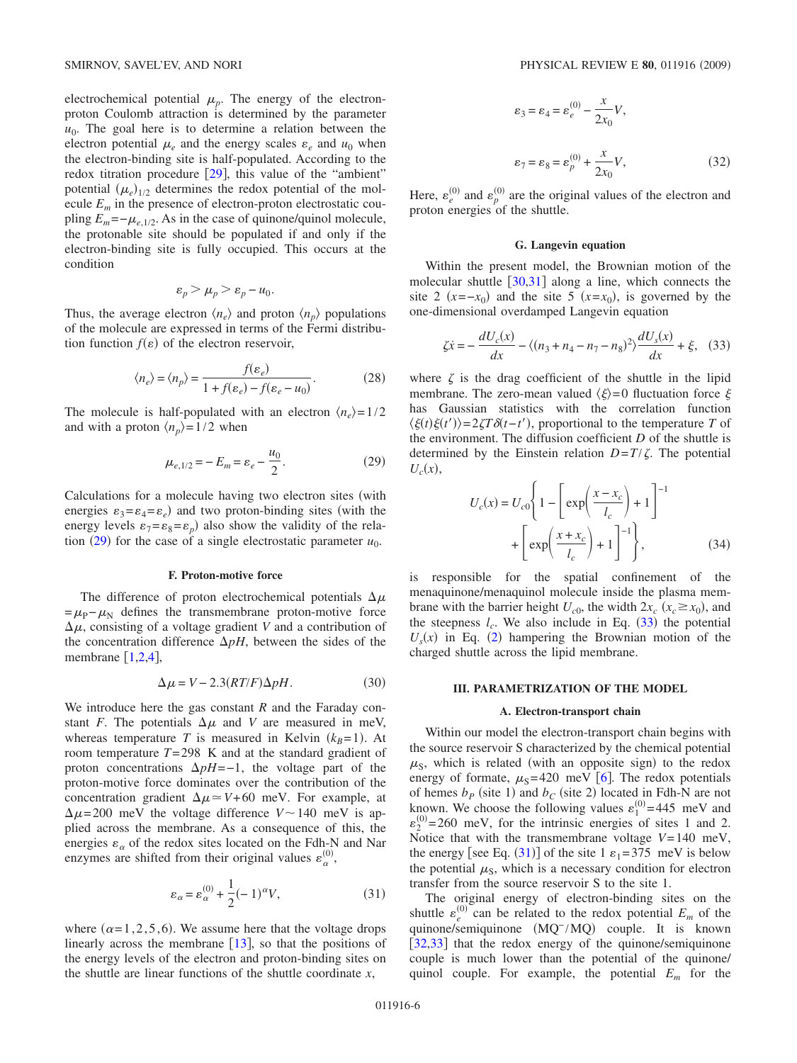electrochemical potential  $\mu_p$ . The energy of the electronproton Coulomb attraction is determined by the parameter  $u_0$ . The goal here is to determine a relation between the electron potential  $\mu_e$  and the energy scales  $\varepsilon_e$  and  $u_0$  when the electron-binding site is half-populated. According to the redox titration procedure  $[29]$  $[29]$  $[29]$ , this value of the "ambient" potential  $(\mu_e)_{1/2}$  determines the redox potential of the molecule  $E_m$  in the presence of electron-proton electrostatic coupling  $E_m = -\mu_{e,1/2}$ . As in the case of quinone/quinol molecule, the protonable site should be populated if and only if the electron-binding site is fully occupied. This occurs at the condition

$$
\varepsilon_p > \mu_p > \varepsilon_p - u_0.
$$

Thus, the average electron  $\langle n_e \rangle$  and proton  $\langle n_p \rangle$  populations of the molecule are expressed in terms of the Fermi distribution function  $f(\varepsilon)$  of the electron reservoir,

$$
\langle n_e \rangle = \langle n_p \rangle = \frac{f(\varepsilon_e)}{1 + f(\varepsilon_e) - f(\varepsilon_e - u_0)}.
$$
 (28)

<span id="page-5-1"></span>The molecule is half-populated with an electron  $\langle n_e \rangle = 1/2$ and with a proton  $\langle n_p \rangle = 1/2$  when

$$
\mu_{e,1/2} = -E_m = \varepsilon_e - \frac{u_0}{2}.
$$
\n(29)

Calculations for a molecule having two electron sites (with energies  $\varepsilon_3 = \varepsilon_4 = \varepsilon_e$ ) and two proton-binding sites (with the energy levels  $\varepsilon_7 = \varepsilon_8 = \varepsilon_p$ ) also show the validity of the rela-tion ([29](#page-5-1)) for the case of a single electrostatic parameter  $u_0$ .

## **F. Proton-motive force**

The difference of proton electrochemical potentials  $\Delta \mu$  $=\mu_{\rm P}-\mu_{\rm N}$  defines the transmembrane proton-motive force  $\Delta \mu$ , consisting of a voltage gradient *V* and a contribution of the concentration difference  $\Delta pH$ , between the sides of the membrane  $\left[1,2,4\right]$  $\left[1,2,4\right]$  $\left[1,2,4\right]$  $\left[1,2,4\right]$  $\left[1,2,4\right]$ ,

$$
\Delta \mu = V - 2.3(RT/F)\Delta pH. \tag{30}
$$

We introduce here the gas constant *R* and the Faraday constant *F*. The potentials  $\Delta \mu$  and *V* are measured in meV, whereas temperature *T* is measured in Kelvin  $(k_B=1)$ . At room temperature *T*=298 K and at the standard gradient of proton concentrations  $\Delta pH$ =−1, the voltage part of the proton-motive force dominates over the contribution of the concentration gradient  $\Delta \mu \simeq V + 60$  meV. For example, at  $\Delta \mu$ =200 meV the voltage difference  $V \sim 140$  meV is applied across the membrane. As a consequence of this, the energies  $\varepsilon_{\alpha}$  of the redox sites located on the Fdh-N and Nar enzymes are shifted from their original values  $\varepsilon_{\alpha}^{(0)}$ ,

$$
\varepsilon_{\alpha} = \varepsilon_{\alpha}^{(0)} + \frac{1}{2}(-1)^{\alpha}V,\tag{31}
$$

<span id="page-5-3"></span>where  $(\alpha=1, 2, 5, 6)$ . We assume here that the voltage drops linearly across the membrane  $[13]$  $[13]$  $[13]$ , so that the positions of the energy levels of the electron and proton-binding sites on the shuttle are linear functions of the shuttle coordinate *x*,

$$
\varepsilon_3 = \varepsilon_4 = \varepsilon_e^{(0)} - \frac{x}{2x_0} V,
$$
  

$$
\varepsilon_7 = \varepsilon_8 = \varepsilon_p^{(0)} + \frac{x}{2x_0} V,
$$
 (32)

Here,  $\varepsilon_e^{(0)}$  and  $\varepsilon_p^{(0)}$  are the original values of the electron and proton energies of the shuttle.

### **G. Langevin equation**

Within the present model, the Brownian motion of the molecular shuttle  $\left[30,31\right]$  $\left[30,31\right]$  $\left[30,31\right]$  $\left[30,31\right]$  along a line, which connects the site 2  $(x=-x_0)$  and the site 5  $(x=x_0)$ , is governed by the one-dimensional overdamped Langevin equation

<span id="page-5-2"></span>
$$
\zeta \dot{x} = -\frac{dU_c(x)}{dx} - \langle (n_3 + n_4 - n_7 - n_8)^2 \rangle \frac{dU_s(x)}{dx} + \xi, \quad (33)
$$

where  $\zeta$  is the drag coefficient of the shuttle in the lipid membrane. The zero-mean valued  $\langle \xi \rangle = 0$  fluctuation force  $\xi$ has Gaussian statistics with the correlation function  $\langle \xi(t) \xi(t') \rangle = 2\zeta T \delta(t-t')$ , proportional to the temperature *T* of the environment. The diffusion coefficient *D* of the shuttle is determined by the Einstein relation  $D = T/\zeta$ . The potential  $U_c(x)$ ,

<span id="page-5-4"></span>
$$
U_c(x) = U_{c0} \left\{ 1 - \left[ \exp\left(\frac{x - x_c}{l_c}\right) + 1 \right]^{-1} + \left[ \exp\left(\frac{x + x_c}{l_c}\right) + 1 \right]^{-1} \right\},
$$
\n(34)

is responsible for the spatial confinement of the menaquinone/menaquinol molecule inside the plasma membrane with the barrier height  $U_{c0}$ , the width  $2x_c$   $(x_c \ge x_0)$ , and the steepness  $l_c$ . We also include in Eq.  $(33)$  $(33)$  $(33)$  the potential  $U_s(x)$  in Eq. ([2](#page-2-1)) hampering the Brownian motion of the charged shuttle across the lipid membrane.

#### <span id="page-5-0"></span>**III. PARAMETRIZATION OF THE MODEL**

#### **A. Electron-transport chain**

Within our model the electron-transport chain begins with the source reservoir S characterized by the chemical potential  $\mu$ <sub>S</sub>, which is related (with an opposite sign) to the redox energy of formate,  $\mu$ <sub>S</sub>=420 meV [[6](#page-8-5)]. The redox potentials of hemes  $b_P$  (site 1) and  $b_C$  (site 2) located in Fdh-N are not known. We choose the following values  $\varepsilon_1^{(0)} = 445$  meV and  $\varepsilon_2^{(0)}$  = 260 meV, for the intrinsic energies of sites 1 and 2. Notice that with the transmembrane voltage *V*=140 meV, the energy [see Eq. ([31](#page-5-3))] of the site 1  $\varepsilon_1 = 375$  meV is below the potential  $\mu$ <sub>S</sub>, which is a necessary condition for electron transfer from the source reservoir S to the site 1.

The original energy of electron-binding sites on the shuttle  $\varepsilon_e^{(0)}$  can be related to the redox potential  $E_m$  of the quinone/semiquinone (MQ<sup>-</sup>/MQ) couple. It is known [[32,](#page-9-21)[33](#page-9-22)] that the redox energy of the quinone/semiquinone couple is much lower than the potential of the quinone/ quinol couple. For example, the potential *Em* for the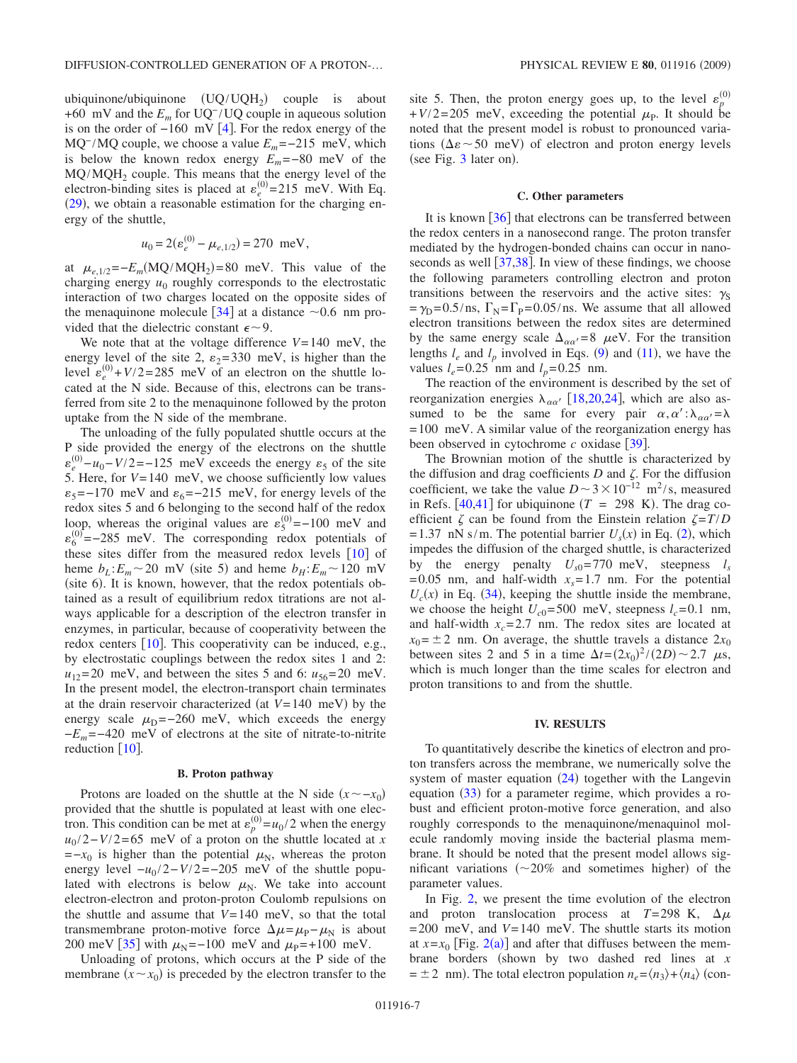ubiquinone/ubiquinone  $(UQ/UQH_2)$  couple is about +60 mV and the *Em* for UQ− /UQ couple in aqueous solution is on the order of  $-160$  mV [[4](#page-8-1)]. For the redox energy of the MQ<sup>−</sup>/MQ couple, we choose a value  $E_m$  = −215 meV, which is below the known redox energy  $E_m$  =−80 meV of the MQ/MQH<sub>2</sub> couple. This means that the energy level of the electron-binding sites is placed at  $\varepsilon_e^{(0)} = 215$  meV. With Eq.  $(29)$  $(29)$  $(29)$ , we obtain a reasonable estimation for the charging energy of the shuttle,

$$
u_0 = 2(\varepsilon_e^{(0)} - \mu_{e,1/2}) = 270 \text{ meV},
$$

at  $\mu_{e,1/2} = -E_m(MQ/MQH_2) = 80$  meV. This value of the charging energy  $u_0$  roughly corresponds to the electrostatic interaction of two charges located on the opposite sides of the menaquinone molecule  $\lceil 34 \rceil$  $\lceil 34 \rceil$  $\lceil 34 \rceil$  at a distance  $\sim 0.6$  nm provided that the dielectric constant  $\epsilon \sim 9$ .

We note that at the voltage difference *V*=140 meV, the energy level of the site 2,  $\varepsilon_2$ =330 meV, is higher than the level  $\varepsilon_e^{(0)} + V/2 = 285$  meV of an electron on the shuttle located at the N side. Because of this, electrons can be transferred from site 2 to the menaquinone followed by the proton uptake from the N side of the membrane.

The unloading of the fully populated shuttle occurs at the P side provided the energy of the electrons on the shuttle  $\varepsilon_e^{(0)} - u_0 - V/2 = -125$  meV exceeds the energy  $\varepsilon_5$  of the site 5. Here, for *V*=140 meV, we choose sufficiently low values  $\epsilon_5$ =−170 meV and  $\epsilon_6$ =−215 meV, for energy levels of the redox sites 5 and 6 belonging to the second half of the redox loop, whereas the original values are  $\varepsilon_5^{(0)} = -100$  meV and  $\varepsilon_6^{(0)} = -285$  meV. The corresponding redox potentials of these sites differ from the measured redox levels  $[10]$  $[10]$  $[10]$  of heme  $b_L$ :  $E_m$  ~ 20 mV (site 5) and heme  $b_H$ :  $E_m$  ~ 120 mV (site 6). It is known, however, that the redox potentials obtained as a result of equilibrium redox titrations are not always applicable for a description of the electron transfer in enzymes, in particular, because of cooperativity between the redox centers  $[10]$  $[10]$  $[10]$ . This cooperativity can be induced, e.g., by electrostatic couplings between the redox sites 1 and 2:  $u_{12}=20$  meV, and between the sites 5 and 6:  $u_{56}=20$  meV. In the present model, the electron-transport chain terminates at the drain reservoir characterized (at  $V = 140$  meV) by the energy scale  $\mu_{\text{D}} = -260 \text{ meV}$ , which exceeds the energy −*Em* =−420 meV of electrons at the site of nitrate-to-nitrite reduction  $\lceil 10 \rceil$  $\lceil 10 \rceil$  $\lceil 10 \rceil$ .

#### **B. Proton pathway**

Protons are loaded on the shuttle at the N side  $(x \sim -x_0)$ provided that the shuttle is populated at least with one electron. This condition can be met at  $\varepsilon_p^{(0)} = u_0/2$  when the energy  $u_0$ /2−*V*/2=65 meV of a proton on the shuttle located at *x*  $=-x_0$  is higher than the potential  $\mu_N$ , whereas the proton energy level  $-u_0/2 - V/2 = -205$  meV of the shuttle populated with electrons is below  $\mu_N$ . We take into account electron-electron and proton-proton Coulomb repulsions on the shuttle and assume that *V*=140 meV, so that the total transmembrane proton-motive force  $\Delta \mu = \mu_P - \mu_N$  is about 200 meV [[35](#page-9-24)] with  $\mu_N = -100$  meV and  $\mu_P = +100$  meV.

Unloading of protons, which occurs at the P side of the membrane  $(x \sim x_0)$  is preceded by the electron transfer to the

site 5. Then, the proton energy goes up, to the level  $\varepsilon_p^{(0)}$  $+V/2=205$  meV, exceeding the potential  $\mu_{\rm P}$ . It should be noted that the present model is robust to pronounced variations ( $\Delta \varepsilon$   $\sim$  50 meV) of electron and proton energy levels (see Fig.  $3$  later on).

## **C. Other parameters**

It is known  $\lceil 36 \rceil$  $\lceil 36 \rceil$  $\lceil 36 \rceil$  that electrons can be transferred between the redox centers in a nanosecond range. The proton transfer mediated by the hydrogen-bonded chains can occur in nanoseconds as well  $\left[37,38\right]$  $\left[37,38\right]$  $\left[37,38\right]$  $\left[37,38\right]$ . In view of these findings, we choose the following parameters controlling electron and proton transitions between the reservoirs and the active sites:  $\gamma_s$  $=\gamma_D=0.5/\text{ns}$ ,  $\Gamma_N=\Gamma_P=0.05/\text{ns}$ . We assume that all allowed electron transitions between the redox sites are determined by the same energy scale  $\Delta_{\alpha\alpha'}=8$   $\mu$ eV. For the transition lengths  $l_e$  and  $l_p$  involved in Eqs. ([9](#page-3-1)) and ([11](#page-3-0)), we have the values  $l_e = 0.25$  nm and  $l_p = 0.25$  nm.

The reaction of the environment is described by the set of reorganization energies  $\lambda_{\alpha\alpha'}$  [[18](#page-9-17)[,20](#page-9-8)[,24](#page-9-14)], which are also assumed to be the same for every pair  $\alpha, \alpha': \lambda_{\alpha \alpha'} = \lambda$ =100 meV. A similar value of the reorganization energy has been observed in cytochrome *c* oxidase [[39](#page-9-28)].

The Brownian motion of the shuttle is characterized by the diffusion and drag coefficients  $D$  and  $\zeta$ . For the diffusion coefficient, we take the value  $D \sim 3 \times 10^{-12}$  m<sup>2</sup>/s, measured in Refs.  $[40,41]$  $[40,41]$  $[40,41]$  $[40,41]$  for ubiquinone  $(T = 298 \text{ K})$ . The drag coefficient  $\zeta$  can be found from the Einstein relation  $\zeta = T/D$  $=1.37$  nN s/m. The potential barrier  $U_s(x)$  in Eq. ([2](#page-2-1)), which impedes the diffusion of the charged shuttle, is characterized by the energy penalty  $U_{s0}$ =770 meV, steepness  $l_s$  $=0.05$  nm, and half-width  $x_s = 1.7$  nm. For the potential  $U_c(x)$  in Eq. ([34](#page-5-4)), keeping the shuttle inside the membrane, we choose the height  $U_{c0}$ =500 meV, steepness  $l_c$ =0.1 nm, and half-width  $x_c = 2.7$  nm. The redox sites are located at  $x_0 = \pm 2$  nm. On average, the shuttle travels a distance  $2x_0$ between sites 2 and 5 in a time  $\Delta t = (2x_0)^2/(2D) \sim 2.7 \mu s$ , which is much longer than the time scales for electron and proton transitions to and from the shuttle.

### **IV. RESULTS**

<span id="page-6-0"></span>To quantitatively describe the kinetics of electron and proton transfers across the membrane, we numerically solve the system of master equation  $(24)$  $(24)$  $(24)$  together with the Langevin equation ([33](#page-5-2)) for a parameter regime, which provides a robust and efficient proton-motive force generation, and also roughly corresponds to the menaquinone/menaquinol molecule randomly moving inside the bacterial plasma membrane. It should be noted that the present model allows significant variations  $(\sim 20\%$  and sometimes higher) of the parameter values.

In Fig. [2,](#page-7-1) we present the time evolution of the electron and proton translocation process at  $T=298$  K,  $\Delta \mu$  $=200$  meV, and  $V=140$  meV. The shuttle starts its motion at  $x=x_0$  [Fig. [2](#page-7-1)(a)] and after that diffuses between the membrane borders (shown by two dashed red lines at *x*  $= \pm 2$  nm). The total electron population  $n_e = \langle n_3 \rangle + \langle n_4 \rangle$  (con-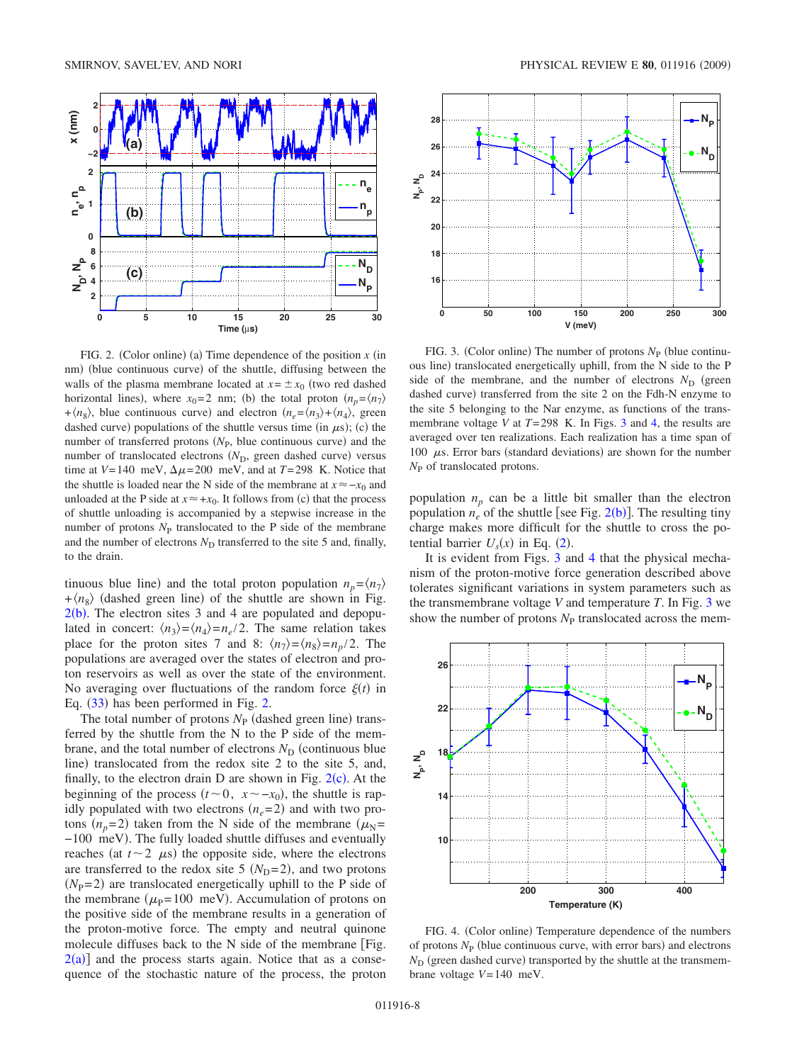<span id="page-7-1"></span>

FIG. 2. (Color online) (a) Time dependence of the position  $x$  (in nm) (blue continuous curve) of the shuttle, diffusing between the walls of the plasma membrane located at  $x = \pm x_0$  (two red dashed horizontal lines), where  $x_0 = 2$  nm; (b) the total proton  $(n_p = \langle n_7 \rangle)$ + $\langle n_8 \rangle$ , blue continuous curve) and electron  $\langle n_e = \langle n_3 \rangle + \langle n_4 \rangle$ , green dashed curve) populations of the shuttle versus time (in  $\mu$ s); (c) the number of transferred protons  $(N<sub>P</sub>)$ , blue continuous curve) and the number of translocated electrons (N<sub>D</sub>, green dashed curve) versus time at  $V=140$  meV,  $\Delta \mu = 200$  meV, and at  $T=298$  K. Notice that the shuttle is loaded near the N side of the membrane at  $x ≈ −x_0$  and unloaded at the P side at  $x \approx +x_0$ . It follows from (c) that the process of shuttle unloading is accompanied by a stepwise increase in the number of protons  $N<sub>P</sub>$  translocated to the P side of the membrane and the number of electrons  $N_D$  transferred to the site 5 and, finally, to the drain.

tinuous blue line) and the total proton population  $n_p = \langle n_7 \rangle$  $+\langle n_8 \rangle$  (dashed green line) of the shuttle are shown in Fig.  $2(b)$  $2(b)$ . The electron sites 3 and 4 are populated and depopulated in concert:  $\langle n_3 \rangle = \langle n_4 \rangle = n_e / 2$ . The same relation takes place for the proton sites 7 and 8:  $\langle n_7 \rangle = \langle n_8 \rangle = n_p / 2$ . The populations are averaged over the states of electron and proton reservoirs as well as over the state of the environment. No averaging over fluctuations of the random force  $\xi(t)$  in Eq.  $(33)$  $(33)$  $(33)$  has been performed in Fig. [2.](#page-7-1)

The total number of protons  $N_{\rm P}$  (dashed green line) transferred by the shuttle from the N to the P side of the membrane, and the total number of electrons  $N_D$  (continuous blue line) translocated from the redox site 2 to the site 5, and, finally, to the electron drain D are shown in Fig.  $2(c)$  $2(c)$ . At the beginning of the process  $(t \sim 0, x \sim -x_0)$ , the shuttle is rapidly populated with two electrons  $(n_e=2)$  and with two protons  $(n_p=2)$  taken from the N side of the membrane  $(\mu_N=$ -100 meV). The fully loaded shuttle diffuses and eventually reaches (at  $t \sim 2$   $\mu$ s) the opposite side, where the electrons are transferred to the redox site 5  $(N_D=2)$ , and two protons  $(N_P=2)$  are translocated energetically uphill to the P side of the membrane ( $\mu$ <sub>P</sub>=100 meV). Accumulation of protons on the positive side of the membrane results in a generation of the proton-motive force. The empty and neutral quinone molecule diffuses back to the N side of the membrane [Fig.  $2(a)$  $2(a)$ ] and the process starts again. Notice that as a consequence of the stochastic nature of the process, the proton

<span id="page-7-0"></span>

FIG. 3. (Color online) The number of protons  $N_P$  (blue continuous line) translocated energetically uphill, from the N side to the P side of the membrane, and the number of electrons  $N_D$  (green dashed curve) transferred from the site 2 on the Fdh-N enzyme to the site 5 belonging to the Nar enzyme, as functions of the transmembrane voltage *V* at *T*=298 K. In Figs. [3](#page-7-0) and [4,](#page-7-2) the results are averaged over ten realizations. Each realization has a time span of 100  $\mu$ s. Error bars (standard deviations) are shown for the number  $N_{\rm P}$  of translocated protons.

population  $n_p$  can be a little bit smaller than the electron population  $n_e$  of the shuttle [see Fig. [2](#page-7-1)(b)]. The resulting tiny charge makes more difficult for the shuttle to cross the potential barrier  $U_s(x)$  in Eq. ([2](#page-2-1)).

It is evident from Figs. [3](#page-7-0) and [4](#page-7-2) that the physical mechanism of the proton-motive force generation described above tolerates significant variations in system parameters such as the transmembrane voltage *V* and temperature *T*. In Fig. [3](#page-7-0) we show the number of protons  $N<sub>P</sub>$  translocated across the mem-

<span id="page-7-2"></span>

FIG. 4. (Color online) Temperature dependence of the numbers of protons  $N_P$  (blue continuous curve, with error bars) and electrons  $N_{\rm D}$  (green dashed curve) transported by the shuttle at the transmembrane voltage *V*=140 meV.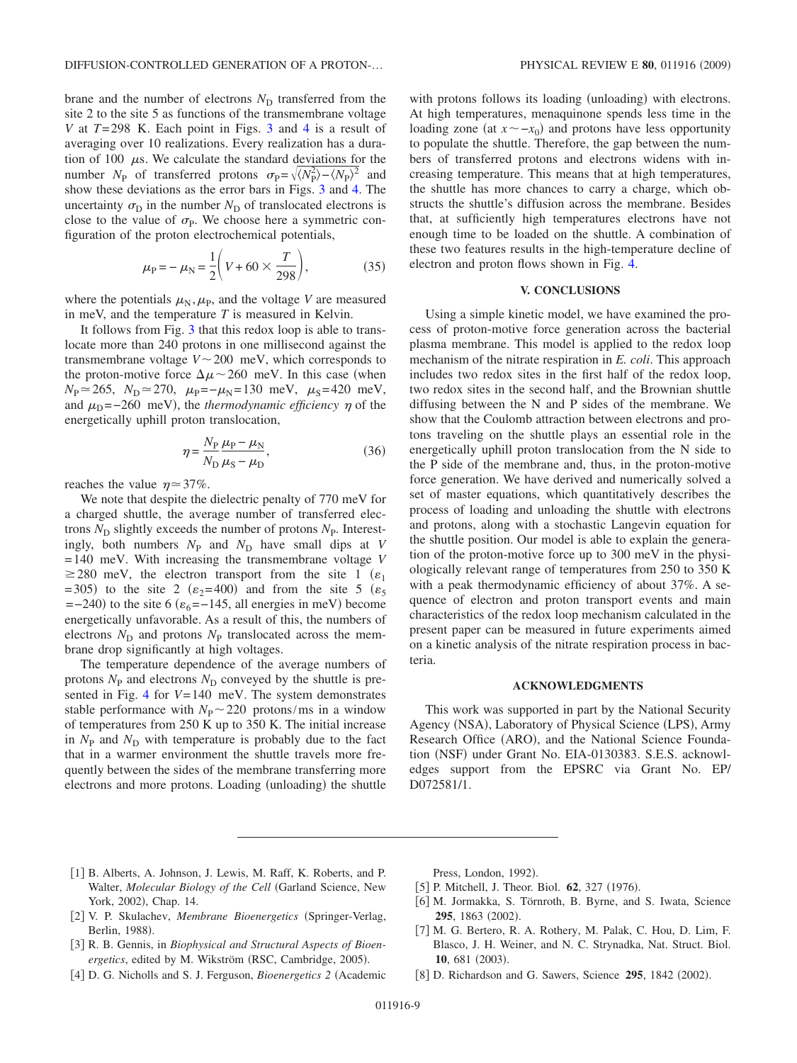brane and the number of electrons  $N<sub>D</sub>$  transferred from the site 2 to the site 5 as functions of the transmembrane voltage *V* at *T*=298 K. Each point in Figs. [3](#page-7-0) and [4](#page-7-2) is a result of averaging over 10 realizations. Every realization has a duration of 100  $\mu$ s. We calculate the standard deviations for the number  $N_{\rm P}$  of transferred protons  $\sigma_{\rm P} = \sqrt{\langle N_{\rm P}^2 \rangle - \langle N_{\rm P} \rangle^2}$  and show these deviations as the error bars in Figs. [3](#page-7-0) and [4.](#page-7-2) The uncertainty  $\sigma_{\rm D}$  in the number  $N_{\rm D}$  of translocated electrons is close to the value of  $\sigma_{\rm p}$ . We choose here a symmetric configuration of the proton electrochemical potentials,

$$
\mu_{\rm P} = -\mu_{\rm N} = \frac{1}{2} \left( V + 60 \times \frac{T}{298} \right),\tag{35}
$$

where the potentials  $\mu_N, \mu_P$ , and the voltage *V* are measured in meV, and the temperature *T* is measured in Kelvin.

It follows from Fig. [3](#page-7-0) that this redox loop is able to translocate more than 240 protons in one millisecond against the transmembrane voltage  $V \sim 200$  meV, which corresponds to the proton-motive force  $\Delta \mu \sim 260$  meV. In this case (when  $N_{\rm P} \approx 265$ ,  $N_{\rm D} \approx 270$ ,  $\mu_{\rm P} = -\mu_{\rm N} = 130$  meV,  $\mu_{\rm S} = 420$  meV, and  $\mu_{\rm D} = -260$  meV), the *thermodynamic efficiency*  $\eta$  of the energetically uphill proton translocation,

$$
\eta = \frac{N_{\rm P}}{N_{\rm D}} \frac{\mu_{\rm P} - \mu_{\rm N}}{\mu_{\rm S} - \mu_{\rm D}},\tag{36}
$$

reaches the value  $\eta \approx 37\%$ .

We note that despite the dielectric penalty of 770 meV for a charged shuttle, the average number of transferred electrons  $N_D$  slightly exceeds the number of protons  $N_P$ . Interestingly, both numbers  $N_{\text{P}}$  and  $N_{\text{D}}$  have small dips at *V* =140 meV. With increasing the transmembrane voltage *V*  $\geq$ 280 meV, the electron transport from the site 1 ( $\varepsilon_1$ )  $(1.305)$  to the site 2 ( $\varepsilon_2$ =400) and from the site 5 ( $\varepsilon_5$ )  $=$  -240) to the site 6 ( $\varepsilon$ <sub>6</sub> = -145, all energies in meV) become energetically unfavorable. As a result of this, the numbers of electrons  $N_D$  and protons  $N_P$  translocated across the membrane drop significantly at high voltages.

The temperature dependence of the average numbers of protons  $N_{\rm P}$  and electrons  $N_{\rm D}$  conveyed by the shuttle is presented in Fig. [4](#page-7-2) for *V*=140 meV. The system demonstrates stable performance with  $N_P \sim 220$  protons/ms in a window of temperatures from 250 K up to 350 K. The initial increase in  $N_{\rm P}$  and  $N_{\rm D}$  with temperature is probably due to the fact that in a warmer environment the shuttle travels more frequently between the sides of the membrane transferring more electrons and more protons. Loading (unloading) the shuttle

with protons follows its loading (unloading) with electrons. At high temperatures, menaquinone spends less time in the loading zone (at  $x \sim -x_0$ ) and protons have less opportunity to populate the shuttle. Therefore, the gap between the numbers of transferred protons and electrons widens with increasing temperature. This means that at high temperatures, the shuttle has more chances to carry a charge, which obstructs the shuttle's diffusion across the membrane. Besides that, at sufficiently high temperatures electrons have not enough time to be loaded on the shuttle. A combination of these two features results in the high-temperature decline of electron and proton flows shown in Fig. [4.](#page-7-2)

### **V. CONCLUSIONS**

<span id="page-8-7"></span>Using a simple kinetic model, we have examined the process of proton-motive force generation across the bacterial plasma membrane. This model is applied to the redox loop mechanism of the nitrate respiration in *E. coli*. This approach includes two redox sites in the first half of the redox loop, two redox sites in the second half, and the Brownian shuttle diffusing between the N and P sides of the membrane. We show that the Coulomb attraction between electrons and protons traveling on the shuttle plays an essential role in the energetically uphill proton translocation from the N side to the P side of the membrane and, thus, in the proton-motive force generation. We have derived and numerically solved a set of master equations, which quantitatively describes the process of loading and unloading the shuttle with electrons and protons, along with a stochastic Langevin equation for the shuttle position. Our model is able to explain the generation of the proton-motive force up to 300 meV in the physiologically relevant range of temperatures from 250 to 350 K with a peak thermodynamic efficiency of about 37%. A sequence of electron and proton transport events and main characteristics of the redox loop mechanism calculated in the present paper can be measured in future experiments aimed on a kinetic analysis of the nitrate respiration process in bacteria.

## **ACKNOWLEDGMENTS**

This work was supported in part by the National Security Agency (NSA), Laboratory of Physical Science (LPS), Army Research Office (ARO), and the National Science Foundation (NSF) under Grant No. EIA-0130383. S.E.S. acknowledges support from the EPSRC via Grant No. EP/ D072581/1.

- <span id="page-8-0"></span>[1] B. Alberts, A. Johnson, J. Lewis, M. Raff, K. Roberts, and P. Walter, *Molecular Biology of the Cell* Garland Science, New York, 2002), Chap. 14.
- <span id="page-8-3"></span>[2] V. P. Skulachev, *Membrane Bioenergetics* (Springer-Verlag, Berlin, 1988).
- <span id="page-8-4"></span>3 R. B. Gennis, in *Biophysical and Structural Aspects of Bioen*ergetics, edited by M. Wikström (RSC, Cambridge, 2005).
- <span id="page-8-1"></span>[4] D. G. Nicholls and S. J. Ferguson, *Bioenergetics* 2 (Academic

Press, London, 1992).

- <span id="page-8-2"></span>[5] P. Mitchell, J. Theor. Biol. **62**, 327 (1976).
- <span id="page-8-5"></span>[6] M. Jormakka, S. Törnroth, B. Byrne, and S. Iwata, Science 295, 1863 (2002).
- <span id="page-8-6"></span>[7] M. G. Bertero, R. A. Rothery, M. Palak, C. Hou, D. Lim, F. Blasco, J. H. Weiner, and N. C. Strynadka, Nat. Struct. Biol. 10, 681 (2003).
- [8] D. Richardson and G. Sawers, Science 295, 1842 (2002).